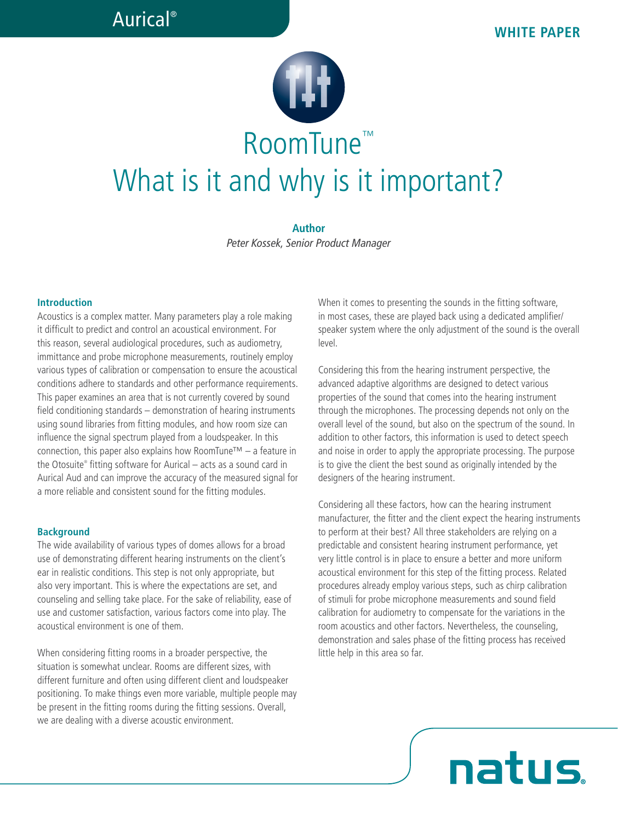# RoomTune™ What is it and why is it important?

**Author** *Peter Kossek, Senior Product Manager*

#### **Introduction**

Acoustics is a complex matter. Many parameters play a role making it difficult to predict and control an acoustical environment. For this reason, several audiological procedures, such as audiometry, immittance and probe microphone measurements, routinely employ various types of calibration or compensation to ensure the acoustical conditions adhere to standards and other performance requirements. This paper examines an area that is not currently covered by sound field conditioning standards – demonstration of hearing instruments using sound libraries from fitting modules, and how room size can influence the signal spectrum played from a loudspeaker. In this connection, this paper also explains how RoomTune<sup>TM</sup> – a feature in the Otosuite® fitting software for Aurical – acts as a sound card in Aurical Aud and can improve the accuracy of the measured signal for a more reliable and consistent sound for the fitting modules.

#### **Background**

The wide availability of various types of domes allows for a broad use of demonstrating different hearing instruments on the client's ear in realistic conditions. This step is not only appropriate, but also very important. This is where the expectations are set, and counseling and selling take place. For the sake of reliability, ease of use and customer satisfaction, various factors come into play. The acoustical environment is one of them.

When considering fitting rooms in a broader perspective, the situation is somewhat unclear. Rooms are different sizes, with different furniture and often using different client and loudspeaker positioning. To make things even more variable, multiple people may be present in the fitting rooms during the fitting sessions. Overall, we are dealing with a diverse acoustic environment.

When it comes to presenting the sounds in the fitting software, in most cases, these are played back using a dedicated amplifier/ speaker system where the only adjustment of the sound is the overall level.

Considering this from the hearing instrument perspective, the advanced adaptive algorithms are designed to detect various properties of the sound that comes into the hearing instrument through the microphones. The processing depends not only on the overall level of the sound, but also on the spectrum of the sound. In addition to other factors, this information is used to detect speech and noise in order to apply the appropriate processing. The purpose is to give the client the best sound as originally intended by the designers of the hearing instrument.

Considering all these factors, how can the hearing instrument manufacturer, the fitter and the client expect the hearing instruments to perform at their best? All three stakeholders are relying on a predictable and consistent hearing instrument performance, yet very little control is in place to ensure a better and more uniform acoustical environment for this step of the fitting process. Related procedures already employ various steps, such as chirp calibration of stimuli for probe microphone measurements and sound field calibration for audiometry to compensate for the variations in the room acoustics and other factors. Nevertheless, the counseling, demonstration and sales phase of the fitting process has received little help in this area so far.

natus.